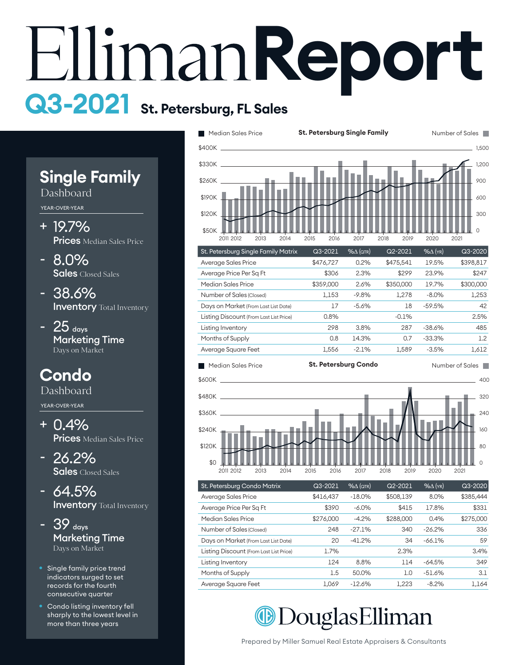# **Report Q3-2021 St. Petersburg, FL Sales**

 $\hat{\zeta}$ 

# **Single Family**

Dashboard

YEAR-OVER-YEAR

- 19.7% + **Prices** Median Sales Price
- 8.0% **Sales** Closed Sales -
- 38.6% **Inventory** Total Inventory
- $25$  days Marketing Time Days on Market -

## **Condo**

Dashboard

YEAR-OVER-YEAR

- 0.4% + **Prices** Median Sales Price
- 26.2% Sales Closed Sales
- 64.5% **Inventory** Total Inventory -
- $-39$  days Marketing Time Days on Market -
- Single family price trend indicators surged to set records for the fourth consecutive quarter
- Condo listing inventory fell sharply to the lowest level in more than three years



St. Petersburg Condo Matrix Q3-2021 %∆ (qtr) Q2-2021 %∆ (yr) Q3-2020 2011 2012 2013 2014 2015 2016 2017 2018 2019 2020 2021

 $\cap$ 

|                                         |           |           |           | ____     |           |
|-----------------------------------------|-----------|-----------|-----------|----------|-----------|
| Average Sales Price                     | \$416,437 | $-18.0\%$ | \$508,139 | 8.0%     | \$385,444 |
| Average Price Per Sq Ft                 | \$390     | $-6.0\%$  | \$415     | 17.8%    | \$331     |
| Median Sales Price                      | \$276,000 | $-4.2%$   | \$288,000 | 0.4%     | \$275,000 |
| Number of Sales (Closed)                | 248       | $-27.1%$  | 340       | $-26.2%$ | 336       |
| Days on Market (From Last List Date)    | 20        | $-41.2%$  | 34        | $-66.1%$ | 59        |
| Listing Discount (From Last List Price) | 1.7%      |           | 2.3%      |          | 3.4%      |
| Listing Inventory                       | 124       | 8.8%      | 114       | $-64.5%$ | 349       |
| Months of Supply                        | 1.5       | 50.0%     | 1.0       | $-51.6%$ | 3.1       |
| Average Square Feet                     | 1.069     | $-12.6%$  | 1,223     | $-8.2%$  | 1.164     |

**Median Douglas Elliman**